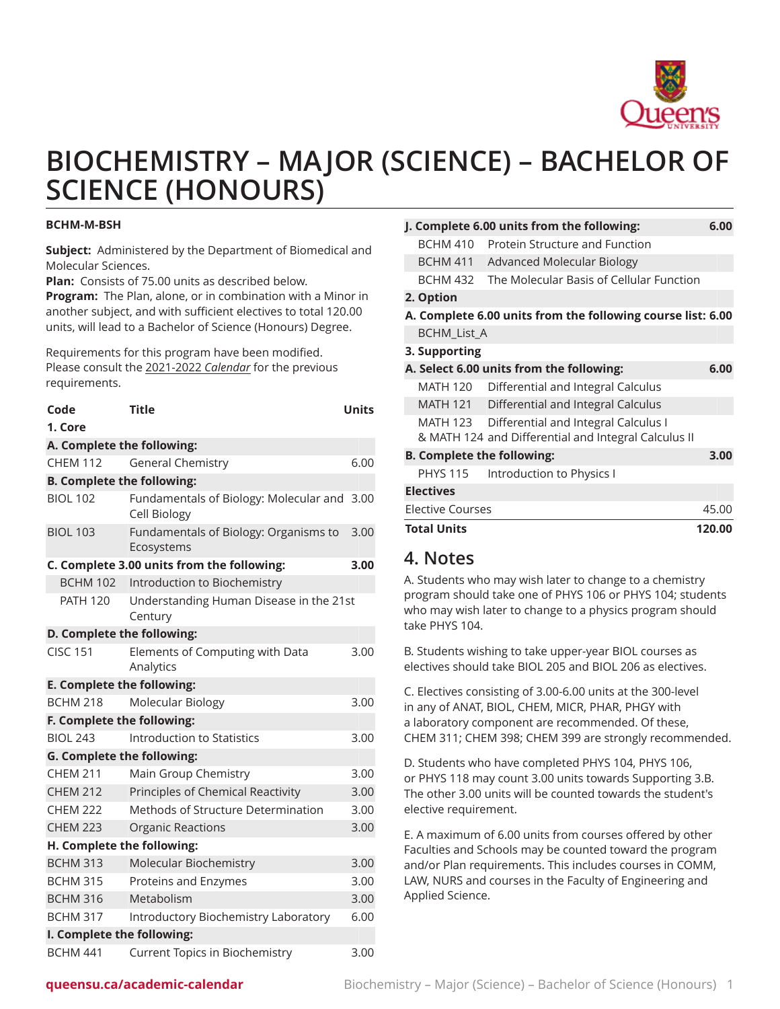

# **BIOCHEMISTRY – MAJOR (SCIENCE) – BACHELOR OF SCIENCE (HONOURS)**

### **BCHM-M-BSH**

**Subject:** Administered by the Department of Biomedical and Molecular Sciences.

**Plan:** Consists of 75.00 units as described below.

**Program:** The Plan, alone, or in combination with a Minor in another subject, and with sufficient electives to total 120.00 units, will lead to a Bachelor of Science (Honours) Degree.

Requirements for this program have been modified. Please consult the 2021-2022 *Calendar* for the previous requirements.

| Code                                  | <b>Title</b>                                           | <b>Units</b> |  |  |  |  |
|---------------------------------------|--------------------------------------------------------|--------------|--|--|--|--|
| 1. Core<br>A. Complete the following: |                                                        |              |  |  |  |  |
| <b>CHEM 112</b>                       | <b>General Chemistry</b>                               | 6.00         |  |  |  |  |
|                                       |                                                        |              |  |  |  |  |
| <b>B. Complete the following:</b>     |                                                        |              |  |  |  |  |
| <b>BIOL 102</b>                       | Fundamentals of Biology: Molecular and<br>Cell Biology | 3.00         |  |  |  |  |
| <b>BIOL 103</b>                       | Fundamentals of Biology: Organisms to<br>Ecosystems    | 3.00         |  |  |  |  |
|                                       | C. Complete 3.00 units from the following:             | 3.00         |  |  |  |  |
| <b>BCHM 102</b>                       | Introduction to Biochemistry                           |              |  |  |  |  |
| PATH 120                              | Understanding Human Disease in the 21st<br>Century     |              |  |  |  |  |
| D. Complete the following:            |                                                        |              |  |  |  |  |
| <b>CISC 151</b>                       | Elements of Computing with Data<br>Analytics           | 3.00         |  |  |  |  |
| E. Complete the following:            |                                                        |              |  |  |  |  |
| <b>BCHM 218</b>                       | Molecular Biology                                      | 3.00         |  |  |  |  |
| F. Complete the following:            |                                                        |              |  |  |  |  |
| <b>BIOL 243</b>                       | <b>Introduction to Statistics</b>                      | 3.00         |  |  |  |  |
| <b>G. Complete the following:</b>     |                                                        |              |  |  |  |  |
| <b>CHEM 211</b>                       | Main Group Chemistry                                   | 3.00         |  |  |  |  |
| <b>CHEM 212</b>                       | Principles of Chemical Reactivity                      | 3.00         |  |  |  |  |
| <b>CHEM 222</b>                       | Methods of Structure Determination                     | 3.00         |  |  |  |  |
| <b>CHEM 223</b>                       | <b>Organic Reactions</b>                               | 3.00         |  |  |  |  |
| H. Complete the following:            |                                                        |              |  |  |  |  |
| <b>BCHM 313</b>                       | Molecular Biochemistry                                 | 3.00         |  |  |  |  |
| <b>BCHM 315</b>                       | Proteins and Enzymes                                   | 3.00         |  |  |  |  |
| <b>BCHM 316</b>                       | Metabolism                                             | 3.00         |  |  |  |  |
| <b>BCHM 317</b>                       | Introductory Biochemistry Laboratory                   | 6.00         |  |  |  |  |
| I. Complete the following:            |                                                        |              |  |  |  |  |
| <b>BCHM 441</b>                       | Current Topics in Biochemistry                         | 3.00         |  |  |  |  |

|                                   | J. Complete 6.00 units from the following:                  | 6.00   |
|-----------------------------------|-------------------------------------------------------------|--------|
| BCHM 410                          | Protein Structure and Function                              |        |
| <b>BCHM 411</b>                   | Advanced Molecular Biology                                  |        |
| BCHM 432                          | The Molecular Basis of Cellular Function                    |        |
| 2. Option                         |                                                             |        |
|                                   | A. Complete 6.00 units from the following course list: 6.00 |        |
| <b>BCHM_List_A</b>                |                                                             |        |
| 3. Supporting                     |                                                             |        |
|                                   | A. Select 6.00 units from the following:                    | 6.00   |
| <b>MATH 120</b>                   | Differential and Integral Calculus                          |        |
| <b>MATH 121</b>                   | Differential and Integral Calculus                          |        |
| MATH 123                          | Differential and Integral Calculus I                        |        |
|                                   | & MATH 124 and Differential and Integral Calculus II        |        |
| <b>B. Complete the following:</b> |                                                             | 3.00   |
| PHYS 115                          | Introduction to Physics I                                   |        |
| <b>Electives</b>                  |                                                             |        |
| <b>Elective Courses</b><br>45.00  |                                                             |        |
| <b>Total Units</b>                |                                                             | 120.00 |

### **4. Notes**

A. Students who may wish later to change to a chemistry program should take one of PHYS 106 or PHYS 104; students who may wish later to change to a physics program should take PHYS 104.

B. Students wishing to take upper-year BIOL courses as electives should take BIOL 205 and BIOL 206 as electives.

C. Electives consisting of 3.00-6.00 units at the 300-level in any of ANAT, BIOL, CHEM, MICR, PHAR, PHGY with a laboratory component are recommended. Of these, CHEM 311; CHEM 398; CHEM 399 are strongly recommended.

D. Students who have completed PHYS 104, PHYS 106, or PHYS 118 may count 3.00 units towards Supporting 3.B. The other 3.00 units will be counted towards the student's elective requirement.

E. A maximum of 6.00 units from courses offered by other Faculties and Schools may be counted toward the program and/or Plan requirements. This includes courses in COMM, LAW, NURS and courses in the Faculty of Engineering and Applied Science.